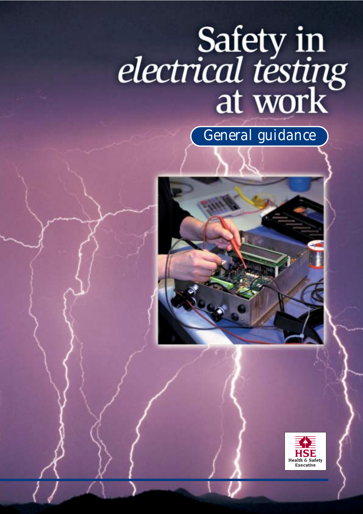# Safety in<br>
electrical testing<br>
at work

*General guidance* 

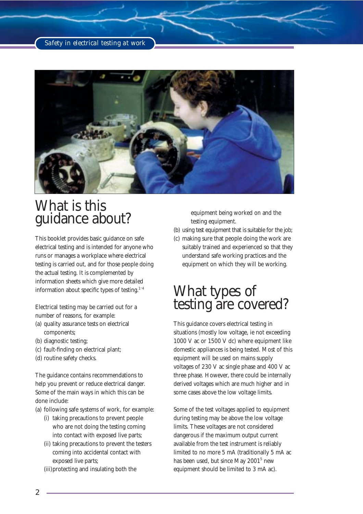

# What is this guidance about?

This booklet provides basic guidance on safe electrical testing and is intended for anyone who runs or manages a workplace where electrical testing is carried out, and for those people doing the actual testing. It is complemented by information sheets which give more detailed information about specific types of testing. $1-4$ 

Electrical testing may be carried out for a number of reasons, for example:

- (a) quality assurance tests on electrical components;
- (b) diagnostic testing;
- (c) fault-finding on electrical plant;
- (d) routine safety checks.

The guidance contains recommendations to help you prevent or reduce electrical danger. Some of the main ways in which this can be done include:

- (a) following safe systems of work, for example:
	- (i) taking precautions to prevent people who are not doing the testing coming into contact with exposed live parts;
	- (ii) taking precautions to prevent the testers coming into accidental contact with exposed live parts;

(iii)protecting and insulating both the

equipment being worked on and the testing equipment.

(b) using test equipment that is suitable for the job;

(c) making sure that people doing the work are suitably trained and experienced so that they understand safe working practices and the equipment on which they will be working.

# What types of testing are covered?

This guidance covers electrical testing in situations (mostly low voltage, ie not exceeding 1000 V ac or 1500 V dc) where equipment like domestic appliances is being tested. Most of this equipment will be used on mains supply voltages of 230 V ac single phase and 400 V ac three phase. However, there could be internally derived voltages which are much higher and in some cases above the low voltage limits.

Some of the test voltages applied to equipment during testing may be above the low voltage limits. These voltages are not considered dangerous if the maximum output current available from the test instrument is reliably limited to no more 5 mA (traditionally 5 mA ac has been used, but since May 2001<sup>5</sup> new equipment should be limited to 3 mA ac).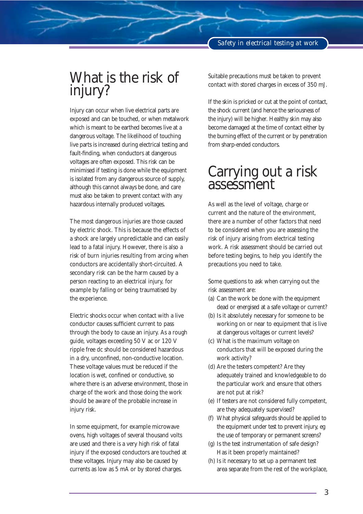# What is the risk of injury?

Injury can occur when live electrical parts are exposed and can be touched, or when metalwork which is meant to be earthed becomes live at a dangerous voltage. The likelihood of touching live parts is increased during electrical testing and fault-finding, when conductors at dangerous voltages are often exposed. This risk can be minimised if testing is done while the equipment is isolated from any dangerous source of supply, although this cannot always be done, and care must also be taken to prevent contact with any hazardous internally produced voltages.

The most dangerous injuries are those caused by electric shock. This is because the effects of a shock are largely unpredictable and can easily lead to a fatal injury. However, there is also a risk of burn injuries resulting from arcing when conductors are accidentally short-circuited. A secondary risk can be the harm caused by a person reacting to an electrical injury, for example by falling or being traumatised by the experience.

Electric shocks occur when contact with a live conductor causes sufficient current to pass through the body to cause an injury. As a rough guide, voltages exceeding 50 V ac or 120 V ripple free dc should be considered hazardous in a dry, unconfined, non-conductive location. These voltage values must be reduced if the location is wet, confined or conductive, so where there is an adverse environment, those in charge of the work and those doing the work should be aware of the probable increase in injury risk.

In some equipment, for example microwave ovens, high voltages of several thousand volts are used and there is a very high risk of fatal injury if the exposed conductors are touched at these voltages. Injury may also be caused by currents as low as 5 mA or by stored charges.

Suitable precautions must be taken to prevent contact with stored charges in excess of 350 mJ.

If the skin is pricked or cut at the point of contact, the shock current (and hence the seriousness of the injury) will be higher. Healthy skin may also become damaged at the time of contact either by the burning effect of the current or by penetration from sharp-ended conductors.

## Carrying out a risk assessment

As well as the level of voltage, charge or current and the nature of the environment, there are a number of other factors that need to be considered when you are assessing the risk of injury arising from electrical testing work. A risk assessment should be carried out before testing begins, to help you identify the precautions you need to take.

Some questions to ask when carrying out the risk assessment are:

- (a) Can the work be done with the equipment dead or energised at a safe voltage or current?
- (b) Is it absolutely necessary for someone to be working on or near to equipment that is live at dangerous voltages or current levels?
- (c) What is the maximum voltage on conductors that will be exposed during the work activity?
- (d) Are the testers competent? Are they adequately trained and knowledgeable to do the particular work and ensure that others are not put at risk?
- (e) If testers are not considered fully competent, are they adequately supervised?
- (f) What physical safeguards should be applied to the equipment under test to prevent injury, eg the use of temporary or permanent screens?
- (g) Is the test instrumentation of safe design? Has it been properly maintained?
- (h) Is it necessary to set up a permanent test area separate from the rest of the workplace,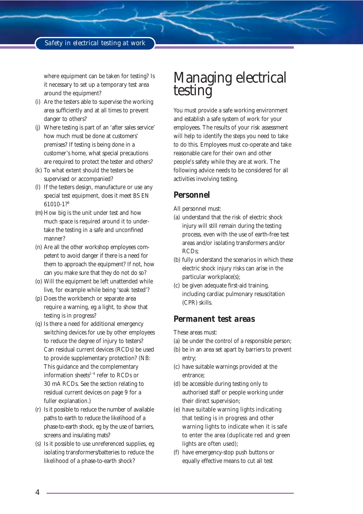where equipment can be taken for testing? Is it necessary to set up a temporary test area around the equipment?

- (i) Are the testers able to supervise the working area sufficiently and at all times to prevent danger to others?
- (j) Where testing is part of an 'after sales service' how much must be done at customers' premises? If testing is being done in a customer's home, what special precautions are required to protect the tester and others?
- (k) To what extent should the testers be supervised or accompanied?
- (l) If the testers design, manufacture or use any special test equipment, does it meet BS EN 61010-1?6
- (m) How big is the unit under test and how much space is required around it to undertake the testing in a safe and unconfined manner?
- (n) Are all the other workshop employees competent to avoid danger if there is a need for them to approach the equipment? If not, how can you make sure that they do not do so?
- (o) Will the equipment be left unattended while live, for example while being 'soak tested'?
- (p) Does the workbench or separate area require a warning, eg a light, to show that testing is in progress?
- (q) Is there a need for additional emergency switching devices for use by other employees to reduce the degree of injury to testers? Can residual current devices (RCDs) be used to provide supplementary protection? (NB: This guidance and the complementary information sheets $1-4$  refer to RCDs or 30 mA RCDs. See the section relating to residual current devices on page 9 for a fuller explanation.)
- (r) Is it possible to reduce the number of available paths to earth to reduce the likelihood of a phase-to-earth shock, eg by the use of barriers, screens and insulating mats?
- (s) Is it possible to use unreferenced supplies, eg isolating transformers/batteries to reduce the likelihood of a phase-to-earth shock?

# Managing electrical testing

You must provide a safe working environment and establish a safe system of work for your employees. The results of your risk assessment will help to identify the steps you need to take to do this. Employees must co-operate and take reasonable care for their own and other people's safety while they are at work. The following advice needs to be considered for all activities involving testing.

#### *Personnel*

All personnel must:

- (a) understand that the risk of electric shock injury will still remain during the testing process, even with the use of earth-free test areas and/or isolating transformers and/or RCDs;
- (b) fully understand the scenarios in which these electric shock injury risks can arise in the particular workplace(s);
- (c) be given adequate first-aid training, including cardiac pulmonary resuscitation (CPR) skills.

#### *Permanent test areas*

These areas must:

- (a) be under the control of a responsible person;
- (b) be in an area set apart by barriers to prevent entry;
- (c) have suitable warnings provided at the entrance;
- (d) be accessible during testing only to authorised staff or people working under their direct supervision;
- (e) have suitable warning lights indicating that testing is in progress and other warning lights to indicate when it is safe to enter the area (duplicate red and green lights are often used);
- (f) have emergency-stop push buttons or equally effective means to cut all test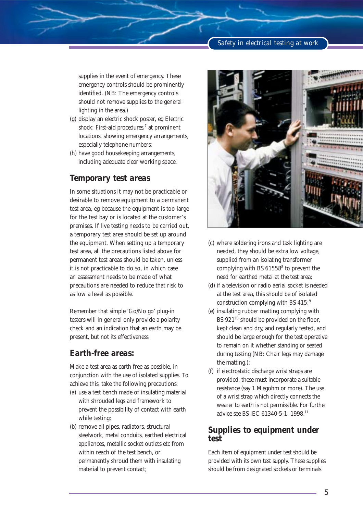#### *Safety in electrical testing at work*

supplies in the event of emergency. These emergency controls should be prominently identified. (NB: The emergency controls should not remove supplies to the general lighting in the area.)

- (g) display an electric shock poster, eg *Electric shock: First-aid procedures*, 7 at prominent locations, showing emergency arrangements, especially telephone numbers;
- (h) have good housekeeping arrangements, including adequate clear working space.

#### *Temporary test areas*

In some situations it may not be practicable or desirable to remove equipment to a permanent test area, eg because the equipment is too large for the test bay or is located at the customer's premises. If live testing needs to be carried out, a temporary test area should be set up around the equipment. When setting up a temporary test area, all the precautions listed above for permanent test areas should be taken, unless it is not practicable to do so, in which case an assessment needs to be made of what precautions are needed to reduce that risk to as low a level as possible.

Remember that simple 'Go/No go' plug-in testers will in general only provide a polarity check and an indication that an earth may be present, but not its effectiveness.

#### *Earth-free areas:*

Make a test area as earth free as possible, in conjunction with the use of isolated supplies. To achieve this, take the following precautions:

- (a) use a test bench made of insulating material with shrouded legs and framework to prevent the possibility of contact with earth while testing;
- (b) remove all pipes, radiators, structural steelwork, metal conduits, earthed electrical appliances, metallic socket outlets etc from within reach of the test bench, or permanently shroud them with insulating material to prevent contact;



- (c) where soldering irons and task lighting are needed, they should be extra low voltage, supplied from an isolating transformer complying with BS  $61558<sup>8</sup>$  to prevent the need for earthed metal at the test area;
- (d) if a television or radio aerial socket is needed at the test area, this should be of isolated construction complying with BS  $415$ ;<sup>9</sup>
- (e) insulating rubber matting complying with BS  $921^{10}$  should be provided on the floor. kept clean and dry, and regularly tested, and should be large enough for the test operative to remain on it whether standing or seated during testing (NB: Chair legs may damage the matting.);
- (f) if electrostatic discharge wrist straps are provided, these must incorporate a suitable resistance (say 1 Megohm or more). The use of a wrist strap which directly connects the wearer to earth is not permissible. For further advice see BS IEC 61340-5-1: 1998.<sup>11</sup>

#### *Supplies to equipment under test*

Each item of equipment under test should be provided with its own test supply. These supplies should be from designated sockets or terminals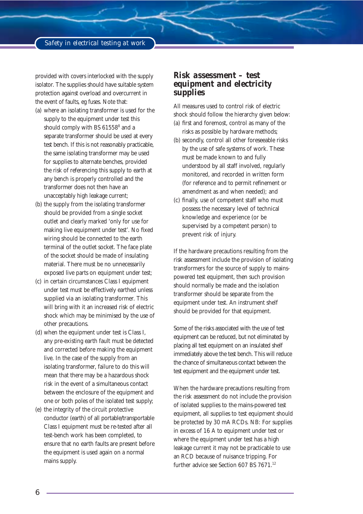provided with covers interlocked with the supply isolator. The supplies should have suitable system protection against overload and overcurrent in the event of faults, eg fuses. Note that:

- (a) where an isolating transformer is used for the supply to the equipment under test this should comply with BS 61558<sup>8</sup> and a separate transformer should be used at every test bench. If this is not reasonably practicable, the same isolating transformer may be used for supplies to alternate benches, provided the risk of referencing this supply to earth at any bench is properly controlled and the transformer does not then have an unacceptably high leakage current;
- (b) the supply from the isolating transformer should be provided from a single socket outlet and clearly marked 'only for use for making live equipment under test'. No fixed wiring should be connected to the earth terminal of the outlet socket. The face plate of the socket should be made of insulating material. There must be no unnecessarily exposed live parts on equipment under test;
- (c) in certain circumstances Class I equipment under test must be effectively earthed unless supplied via an isolating transformer. This will bring with it an increased risk of electric shock which may be minimised by the use of other precautions.
- (d) when the equipment under test is Class I, any pre-existing earth fault must be detected and corrected before making the equipment live. In the case of the supply from an isolating transformer, failure to do this will mean that there may be a hazardous shock risk in the event of a simultaneous contact between the enclosure of the equipment and one or both poles of the isolated test supply;
- (e) the integrity of the circuit protective conductor (earth) of all portable/transportable Class I equipment must be re-tested after all test-bench work has been completed, to ensure that no earth faults are present before the equipment is used again on a normal mains supply.

#### *Risk assessment – test equipment and electricity supplies*

All measures used to control risk of electric shock should follow the hierarchy given below: (a) first and foremost, control as many of the

- risks as possible by hardware methods;
- (b) secondly, control all other foreseeable risks by the use of safe systems of work. These must be made known to and fully understood by all staff involved, regularly monitored, and recorded in written form (for reference and to permit refinement or amendment as and when needed); and
- (c) finally, use of competent staff who must possess the necessary level of technical knowledge and experience (or be supervised by a competent person) to prevent risk of injury.

If the hardware precautions resulting from the risk assessment include the provision of isolating transformers for the source of supply to mainspowered test equipment, then such provision should normally be made and the isolation transformer should be separate from the equipment under test. An instrument shelf should be provided for that equipment.

Some of the risks associated with the use of test equipment can be reduced, but not eliminated by placing all test equipment on an insulated shelf immediately above the test bench. This will reduce the chance of simultaneous contact between the test equipment and the equipment under test.

When the hardware precautions resulting from the risk assessment do not include the provision of isolated supplies to the mains-powered test equipment, all supplies to test equipment should be protected by 30 mA RCDs. NB: For supplies in excess of 16 A to equipment under test or where the equipment under test has a high leakage current it may not be practicable to use an RCD because of nuisance tripping. For further advice see Section 607 BS 7671.<sup>12</sup>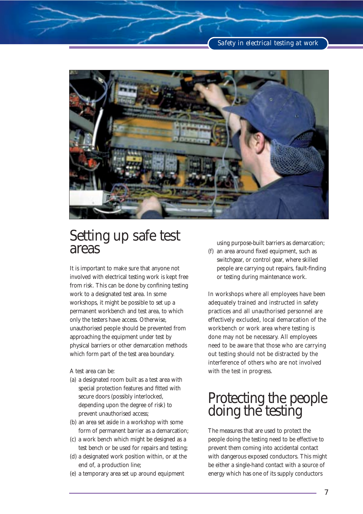

## Setting up safe test areas

It is important to make sure that anyone not involved with electrical testing work is kept free from risk. This can be done by confining testing work to a designated test area. In some workshops, it might be possible to set up a permanent workbench and test area, to which only the testers have access. Otherwise, unauthorised people should be prevented from approaching the equipment under test by physical barriers or other demarcation methods which form part of the test area boundary.

A test area can be:

- (a) a designated room built as a test area with special protection features and fitted with secure doors (possibly interlocked, depending upon the degree of risk) to prevent unauthorised access;
- (b) an area set aside in a workshop with some form of permanent barrier as a demarcation;
- (c) a work bench which might be designed as a test bench or be used for repairs and testing;
- (d) a designated work position within, or at the end of, a production line;
- (e) a temporary area set up around equipment

using purpose-built barriers as demarcation;

(f) an area around fixed equipment, such as switchgear, or control gear, where skilled people are carrying out repairs, fault-finding or testing during maintenance work.

In workshops where all employees have been adequately trained and instructed in safety practices and all unauthorised personnel are effectively excluded, local demarcation of the workbench or work area where testing is done may not be necessary. All employees need to be aware that those who are carrying out testing should not be distracted by the interference of others who are not involved with the test in progress.

## Protecting the people doing the testing

The measures that are used to protect the people doing the testing need to be effective to prevent them coming into accidental contact with dangerous exposed conductors. This might be either a single-hand contact with a source of energy which has one of its supply conductors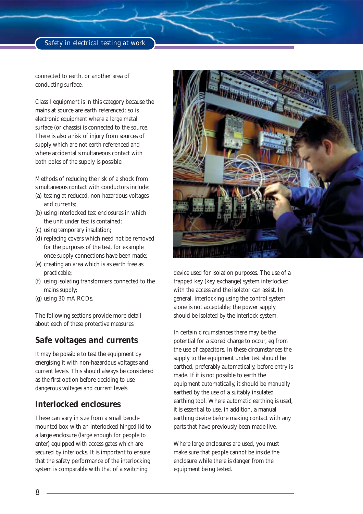connected to earth, or another area of conducting surface.

Class I equipment is in this category because the mains at source are earth referenced; so is electronic equipment where a large metal surface (or chassis) is connected to the source. There is also a risk of injury from sources of supply which are not earth referenced and where accidental simultaneous contact with both poles of the supply is possible.

Methods of reducing the risk of a shock from simultaneous contact with conductors include:

- (a) testing at reduced, non-hazardous voltages and currents;
- (b) using interlocked test enclosures in which the unit under test is contained;
- (c) using temporary insulation;
- (d) replacing covers which need not be removed for the purposes of the test, for example once supply connections have been made;
- (e) creating an area which is as earth free as practicable;
- (f) using isolating transformers connected to the mains supply;
- (g) using 30 mA RCDs.

The following sections provide more detail about each of these protective measures.

#### *Safe voltages and currents*

It may be possible to test the equipment by energising it with non-hazardous voltages and current levels. This should always be considered as the first option before deciding to use dangerous voltages and current levels.

#### *Interlocked enclosures*

These can vary in size from a small benchmounted box with an interlocked hinged lid to a large enclosure (large enough for people to enter) equipped with access gates which are secured by interlocks. It is important to ensure that the safety performance of the interlocking system is comparable with that of a switching



device used for isolation purposes. The use of a trapped key (key exchange) system interlocked with the access and the isolator can assist. In general, interlocking using the control system alone is not acceptable; the power supply should be isolated by the interlock system.

In certain circumstances there may be the potential for a stored charge to occur, eg from the use of capacitors. In these circumstances the supply to the equipment under test should be earthed, preferably automatically, before entry is made. If it is not possible to earth the equipment automatically, it should be manually earthed by the use of a suitably insulated earthing tool. Where automatic earthing is used, it is essential to use, in addition, a manual earthing device before making contact with any parts that have previously been made live.

Where large enclosures are used, you must make sure that people cannot be inside the enclosure while there is danger from the equipment being tested.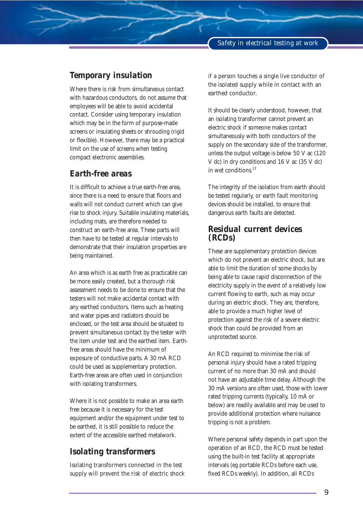#### *Temporary insulation*

Where there is risk from simultaneous contact with hazardous conductors, do not assume that employees will be able to avoid accidental contact. Consider using temporary insulation which may be in the form of purpose-made screens or insulating sheets or shrouding (rigid or flexible). However, there may be a practical limit on the use of screens when testing compact electronic assemblies.

#### *Earth-free areas*

It is difficult to achieve a true earth-free area, since there is a need to ensure that floors and walls will not conduct current which can give rise to shock injury. Suitable insulating materials, including mats, are therefore needed to construct an earth-free area. These parts will then have to be tested at regular intervals to demonstrate that their insulation properties are being maintained.

An area which is as earth free as practicable can be more easily created, but a thorough risk assessment needs to be done to ensure that the testers will not make accidental contact with any earthed conductors. Items such as heating and water pipes and radiators should be enclosed, or the test area should be situated to prevent simultaneous contact by the tester with the item under test and the earthed item. Earthfree areas should have the minimum of exposure of conductive parts. A 30 mA RCD could be used as supplementary protection. Earth-free areas are often used in conjunction with isolating transformers.

Where it is not possible to make an area earth free because it is necessary for the test equipment and/or the equipment under test to be earthed, it is still possible to reduce the extent of the accessible earthed metalwork.

#### *Isolating transformers*

Isolating transformers connected in the test supply will prevent the risk of electric shock if a person touches a single live conductor of the isolated supply while in contact with an earthed conductor.

It should be clearly understood, however, that an isolating transformer cannot prevent an electric shock if someone makes contact simultaneously with both conductors of the supply on the secondary side of the transformer, unless the output voltage is below 50 V ac (120 V dc) in dry conditions and 16 V ac (35 V dc) in wet conditions.<sup>13</sup>

The integrity of the isolation from earth should be tested regularly, or earth fault monitoring devices should be installed, to ensure that dangerous earth faults are detected.

#### *Residual current devices (RCDs)*

These are supplementary protection devices which do not prevent an electric shock, but are able to limit the duration of some shocks by being able to cause rapid disconnection of the electricity supply in the event of a relatively low current flowing to earth, such as may occur during an electric shock. They are, therefore, able to provide a much higher level of protection against the risk of a severe electric shock than could be provided from an unprotected source.

An RCD required to minimise the risk of personal injury should have a rated tripping current of no more than 30 mA and should not have an adjustable time delay. Although the 30 mA versions are often used, those with lower rated tripping currents (typically, 10 mA or below) are readily available and may be used to provide additional protection where nuisance tripping is not a problem.

Where personal safety depends in part upon the operation of an RCD, the RCD must be tested using the built-in test facility at appropriate intervals (eg portable RCDs before each use, fixed RCDs weekly). In addition, all RCDs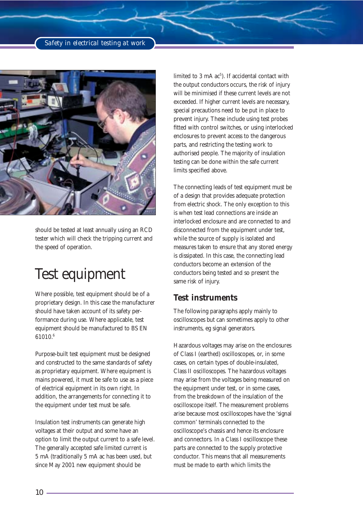

should be tested at least annually using an RCD tester which will check the tripping current and the speed of operation.

# Test equipment

Where possible, test equipment should be of a proprietary design. In this case the manufacturer should have taken account of its safety performance during use. Where applicable, test equipment should be manufactured to BS EN 61010.6

Purpose-built test equipment must be designed and constructed to the same standards of safety as proprietary equipment. Where equipment is mains powered, it must be safe to use as a piece of electrical equipment in its own right. In addition, the arrangements for connecting it to the equipment under test must be safe.

Insulation test instruments can generate high voltages at their output and some have an option to limit the output current to a safe level. The generally accepted safe limited current is 5 mA (traditionally 5 mA ac has been used, but since May 2001 new equipment should be

limited to 3 mA ac<sup>5</sup>). If accidental contact with the output conductors occurs, the risk of injury will be minimised if these current levels are not exceeded. If higher current levels are necessary, special precautions need to be put in place to prevent injury. These include using test probes fitted with control switches, or using interlocked enclosures to prevent access to the dangerous parts, and restricting the testing work to authorised people. The majority of insulation testing can be done within the safe current limits specified above.

The connecting leads of test equipment must be of a design that provides adequate protection from electric shock. The only exception to this is when test lead connections are inside an interlocked enclosure and are connected to and disconnected from the equipment under test, while the source of supply is isolated and measures taken to ensure that any stored energy is dissipated. In this case, the connecting lead conductors become an extension of the conductors being tested and so present the same risk of injury.

#### *Test instruments*

The following paragraphs apply mainly to oscilloscopes but can sometimes apply to other instruments, eg signal generators.

Hazardous voltages may arise on the enclosures of Class I (earthed) oscilloscopes, or, in some cases, on certain types of double-insulated, Class II oscilloscopes. The hazardous voltages may arise from the voltages being measured on the equipment under test, or in some cases, from the breakdown of the insulation of the oscilloscope itself. The measurement problems arise because most oscilloscopes have the 'signal common' terminals connected to the oscilloscope's chassis and hence its enclosure and connectors. In a Class I oscilloscope these parts are connected to the supply protective conductor. This means that all measurements must be made to earth which limits the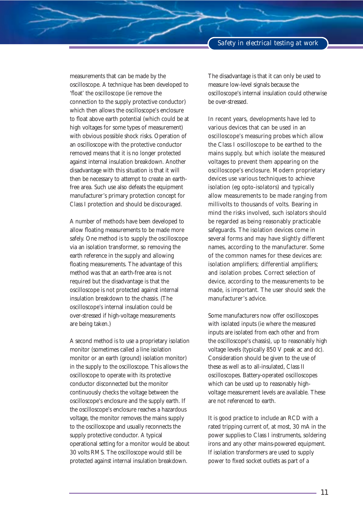measurements that can be made by the oscilloscope. A technique has been developed to 'float' the oscilloscope (ie remove the connection to the supply protective conductor) which then allows the oscilloscope's enclosure to float above earth potential (which could be at high voltages for some types of measurement) with obvious possible shock risks. Operation of an oscilloscope with the protective conductor removed means that it is no longer protected against internal insulation breakdown. Another disadvantage with this situation is that it will then be necessary to attempt to create an earthfree area. Such use also defeats the equipment manufacturer's primary protection concept for Class I protection and should be discouraged.

A number of methods have been developed to allow floating measurements to be made more safely. One method is to supply the oscilloscope via an isolation transformer, so removing the earth reference in the supply and allowing floating measurements. The advantage of this method was that an earth-free area is not required but the disadvantage is that the oscilloscope is not protected against internal insulation breakdown to the chassis. (The oscilloscope's internal insulation could be over-stressed if high-voltage measurements are being taken.)

A second method is to use a proprietary isolation monitor (sometimes called a line isolation monitor or an earth (ground) isolation monitor) in the supply to the oscilloscope. This allows the oscilloscope to operate with its protective conductor disconnected but the monitor continuously checks the voltage between the oscilloscope's enclosure and the supply earth. If the oscilloscope's enclosure reaches a hazardous voltage, the monitor removes the mains supply to the oscilloscope and usually reconnects the supply protective conductor. A typical operational setting for a monitor would be about 30 volts RMS. The oscilloscope would still be protected against internal insulation breakdown.

The disadvantage is that it can only be used to measure low-level signals because the oscilloscope's internal insulation could otherwise be over-stressed.

In recent years, developments have led to various devices that can be used in an oscilloscope's measuring probes which allow the Class I oscilloscope to be earthed to the mains supply, but which isolate the measured voltages to prevent them appearing on the oscilloscope's enclosure. Modern proprietary devices use various techniques to achieve isolation (eg opto-isolators) and typically allow measurements to be made ranging from millivolts to thousands of volts. Bearing in mind the risks involved, such isolators should be regarded as being reasonably practicable safeguards. The isolation devices come in several forms and may have slightly different names, according to the manufacturer. Some of the common names for these devices are: isolation amplifiers; differential amplifiers; and isolation probes. Correct selection of device, according to the measurements to be made, is important. The user should seek the manufacturer's advice.

Some manufacturers now offer oscilloscopes with isolated inputs (ie where the measured inputs are isolated from each other and from the oscilloscope's chassis), up to reasonably high voltage levels (typically 850 V peak ac and dc). Consideration should be given to the use of these as well as to all-insulated, Class II oscilloscopes. Battery-operated oscilloscopes which can be used up to reasonably highvoltage measurement levels are available. These are not referenced to earth.

It is good practice to include an RCD with a rated tripping current of, at most, 30 mA in the power supplies to Class I instruments, soldering irons and any other mains-powered equipment. If isolation transformers are used to supply power to fixed socket outlets as part of a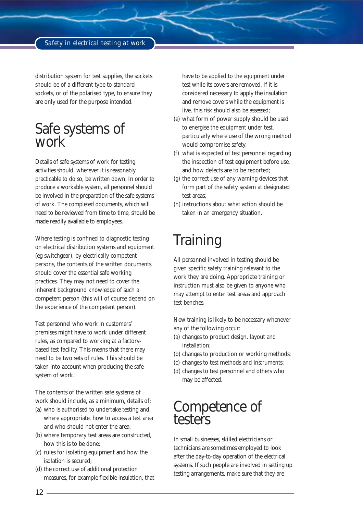distribution system for test supplies, the sockets should be of a different type to standard sockets, or of the polarised type, to ensure they are only used for the purpose intended.

## Safe systems of work

Details of safe systems of work for testing activities should, wherever it is reasonably practicable to do so, be written down. In order to produce a workable system, all personnel should be involved in the preparation of the safe systems of work. The completed documents, which will need to be reviewed from time to time, should be made readily available to employees.

Where testing is confined to diagnostic testing on electrical distribution systems and equipment (eg switchgear), by electrically competent persons, the contents of the written documents should cover the essential safe working practices. They may not need to cover the inherent background knowledge of such a competent person (this will of course depend on the experience of the competent person).

Test personnel who work in customers' premises might have to work under different rules, as compared to working at a factorybased test facility. This means that there may need to be two sets of rules. This should be taken into account when producing the safe system of work.

The contents of the written safe systems of work should include, as a minimum, details of:

- (a) who is authorised to undertake testing and, where appropriate, how to access a test area and who should not enter the area;
- (b) where temporary test areas are constructed, how this is to be done;
- (c) rules for isolating equipment and how the isolation is secured;
- (d) the correct use of additional protection measures, for example flexible insulation, that

have to be applied to the equipment under test while its covers are removed. If it is considered necessary to apply the insulation and remove covers while the equipment is live, this risk should also be assessed;

- (e) what form of power supply should be used to energise the equipment under test, particularly where use of the wrong method would compromise safety;
- (f) what is expected of test personnel regarding the inspection of test equipment before use, and how defects are to be reported;
- (g) the correct use of any warning devices that form part of the safety system at designated test areas;
- (h) instructions about what action should be taken in an emergency situation.

# **Training**

All personnel involved in testing should be given specific safety training relevant to the work they are doing. Appropriate training or instruction must also be given to anyone who may attempt to enter test areas and approach test benches.

New training is likely to be necessary whenever any of the following occur:

- (a) changes to product design, layout and installation;
- (b) changes to production or working methods;
- (c) changes to test methods and instruments;
- (d) changes to test personnel and others who may be affected.

## Competence of testers

In small businesses, skilled electricians or technicians are sometimes employed to look after the day-to-day operation of the electrical systems. If such people are involved in setting up testing arrangements, make sure that they are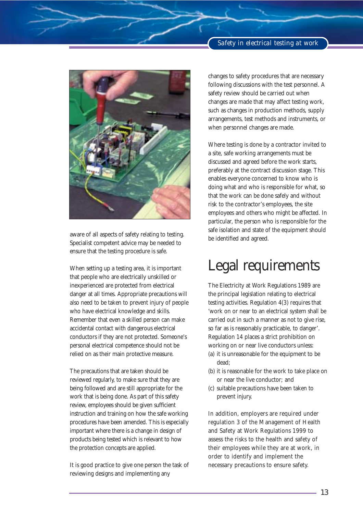

aware of all aspects of safety relating to testing. Specialist competent advice may be needed to ensure that the testing procedure is safe.

When setting up a testing area, it is important that people who are electrically unskilled or inexperienced are protected from electrical danger at all times. Appropriate precautions will also need to be taken to prevent injury of people who have electrical knowledge and skills. Remember that even a skilled person can make accidental contact with dangerous electrical conductors if they are not protected. Someone's personal electrical competence should not be relied on as their main protective measure.

The precautions that are taken should be reviewed regularly, to make sure that they are being followed and are still appropriate for the work that is being done. As part of this safety review, employees should be given sufficient instruction and training on how the safe working procedures have been amended. This is especially important where there is a change in design of products being tested which is relevant to how the protection concepts are applied.

It is good practice to give one person the task of reviewing designs and implementing any

#### *Safety in electrical testing at work*

changes to safety procedures that are necessary following discussions with the test personnel. A safety review should be carried out when changes are made that may affect testing work, such as changes in production methods, supply arrangements, test methods and instruments, or when personnel changes are made.

Where testing is done by a contractor invited to a site, safe working arrangements must be discussed and agreed before the work starts, preferably at the contract discussion stage. This enables everyone concerned to know who is doing what and who is responsible for what, so that the work can be done safely and without risk to the contractor's employees, the site employees and others who might be affected. In particular, the person who is responsible for the safe isolation and state of the equipment should be identified and agreed.

# Legal requirements

The Electricity at Work Regulations 1989 are the principal legislation relating to electrical testing activities. Regulation 4(3) requires that 'work on or near to an electrical system shall be carried out in such a manner as not to give rise, so far as is reasonably practicable, to danger'. Regulation 14 places a strict prohibition on working on or near live conductors unless:

- (a) it is unreasonable for the equipment to be dead;
- (b) it is reasonable for the work to take place on or near the live conductor; and
- (c) suitable precautions have been taken to prevent injury.

In addition, employers are required under regulation 3 of the Management of Health and Safety at Work Regulations 1999 to assess the risks to the health and safety of their employees while they are at work, in order to identify and implement the necessary precautions to ensure safety.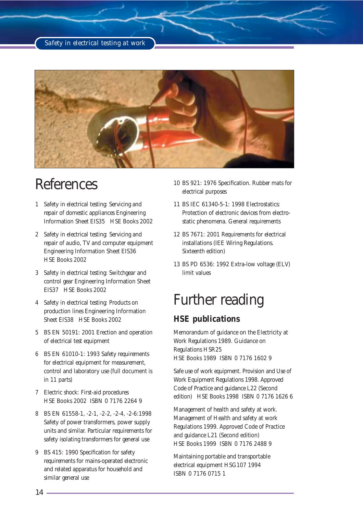#### *Safety in electrical testing at work*



## References

- 1 *Safety in electrical testing: Servicing and repair of domestic appliances* Engineering Information Sheet EIS35 HSE Books 2002
- 2 *Safety in electrical testing: Servicing and repair of audio, TV and computer equipment*  Engineering Information Sheet EIS36 HSE Books 2002
- 3 *Safety in electrical testing: Switchgear and control gear* Engineering Information Sheet EIS37 HSE Books 2002
- 4 *Safety in electrical testing: Products on production lines* Engineering Information Sheet EIS38 HSE Books 2002
- 5 BS EN 50191: 2001 *Erection and operation of electrical test equipment*
- 6 BS EN 61010-1: 1993 *Safety requirements for electrical equipment for measurement, control and laboratory use* (full document is in 11 parts)
- 7 *Electric shock: First-aid procedures*  HSE Books 2002 ISBN 0 7176 2264 9
- 8 BS EN 61558-1, -2-1, -2-2, -2-4, -2-6:1998 *Safety of power transformers, power supply units and similar. Particular requirements for safety isolating transformers for general use*
- 9 BS 415: 1990 *Specification for safety requirements for mains-operated electronic and related apparatus for household and similar general use*
- 10 BS 921: 1976 *Specification. Rubber mats for electrical purposes*
- 11 BS IEC 61340-5-1: 1998 *Electrostatics: Protection of electronic devices from electrostatic phenomena. General requirements*
- 12 BS 7671: 2001 *Requirements for electrical installations (IEE Wiring Regulations. Sixteenth edition)*
- 13 BS PD 6536: 1992 *Extra-low voltage (ELV) limit values*

## Further reading

#### *HSE publications*

*Memorandum of guidance on the Electricity at Work Regulations 1989. Guidance on Regulations* HSR25 HSE Books 1989 ISBN 0 7176 1602 9

*Safe use of work equipment. Provision and Use of Work Equipment Regulations 1998. Approved Code of Practice and guidance* L22 (Second edition) HSE Books 1998 ISBN 0 7176 1626 6

*Management of health and safety at work. Management of Health and safety at work Regulations 1999. Approved Code of Practice and guidance* L21 (Second edition) HSE Books 1999 ISBN 0 7176 2488 9

*Maintaining portable and transportable electrical equipment* HSG107 1994 ISBN 0 7176 0715 1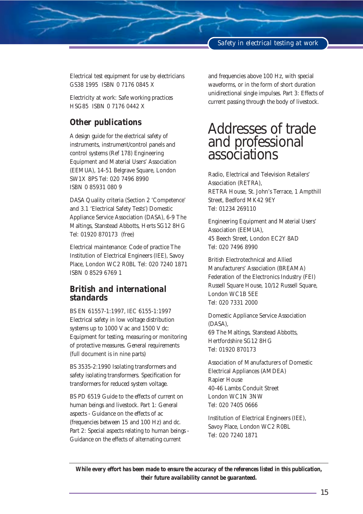*Safety in electrical testing at work* 

*Electrical test equipment for use by electricians*  GS38 1995 ISBN 0 7176 0845 X

*Electricity at work: Safe working practices*  HSG85 ISBN 0 7176 0442 X

#### *Other publications*

*A design guide for the electrical safety of instruments, instrument/control panels and control systems* (Ref 178) Engineering Equipment and Material Users' Association (EEMUA), 14-51 Belgrave Square, London SW1X 8PS Tel: 020 7496 8990 ISBN 0 85931 080 9

*DASA Quality criteria* (Section 2 'Competence' and 3.1 'Electrical Safety Tests') Domestic Appliance Service Association (DASA), 6-9 The Maltings, Stanstead Abbotts, Herts SG12 8HG Tel: 01920 870173 (free)

*Electrical maintenance: Code of practice* The Institution of Electrical Engineers (IEE), Savoy Place, London WC2 R0BL Tel: 020 7240 1871 ISBN 0 8529 6769 1

#### *British and international standards*

BS EN 61557-1:1997, IEC 6155-1:1997 *Electrical safety in low voltage distribution systems up to 1000 V ac and 1500 V dc: Equipment for testing, measuring or monitoring of protective measures. General requirements*  (full document is in nine parts)

BS 3535-2:1990 *Isolating transformers and safety isolating transformers. Specification for transformers for reduced system voltage*.

BS PD 6519 *Guide to the effects of current on human beings and livestock. Part 1: General aspects - Guidance on the effects of ac (frequencies between 15 and 100 Hz) and dc. Part 2: Special aspects relating to human beings Guidance on the effects of alternating current* 

*and frequencies above 100 Hz, with special waveforms, or in the form of short duration unidirectional single impulses. Part 3: Effects of current passing through the body of livestock.* 

## Addresses of trade and professional associations

Radio, Electrical and Television Retailers' Association (RETRA), RETRA House, St. John's Terrace, 1 Ampthill Street, Bedford MK42 9EY Tel: 01234 269110

Engineering Equipment and Material Users' Association (EEMUA), 45 Beech Street, London EC2Y 8AD Tel: 020 7496 8990

British Electrotechnical and Allied Manufacturers' Association (BREAMA) Federation of the Electronics Industry (FEI) Russell Square House, 10/12 Russell Square, London WC1B 5EE Tel: 020 7331 2000

Domestic Appliance Service Association (DASA), 69 The Maltings, Stanstead Abbotts, Hertfordshire SG12 8HG Tel: 01920 870173

Association of Manufacturers of Domestic Electrical Appliances (AMDEA) Rapier House 40-46 Lambs Conduit Street London WC1N 3NW Tel: 020 7405 0666

Institution of Electrical Engineers (IEE), Savoy Place, London WC2 R0BL Tel: 020 7240 1871

*While every effort has been made to ensure the accuracy of the references listed in this publication, their future availability cannot be guaranteed.*